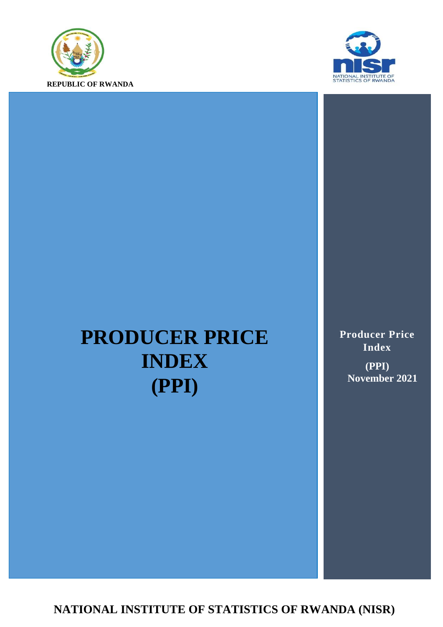



# **PRODUCER PRICE INDEX (PPI)**

**Producer Price Index (PPI) November 2021**

**NATIONAL INSTITUTE OF STATISTICS OF RWANDA (NISR)**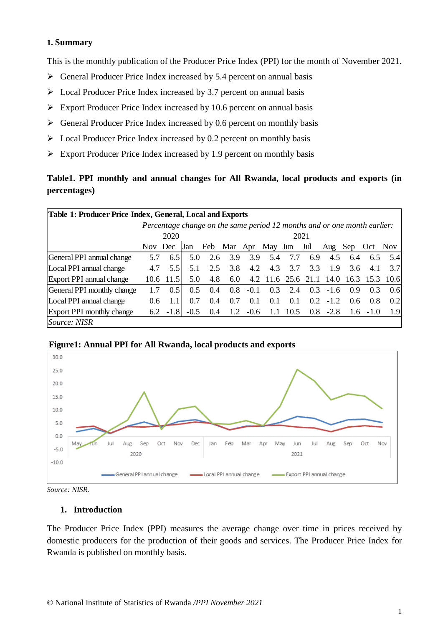#### **1. Summary**

This is the monthly publication of the Producer Price Index (PPI) for the month of November 2021.

- $\triangleright$  General Producer Price Index increased by 5.4 percent on annual basis
- $\triangleright$  Local Producer Price Index increased by 3.7 percent on annual basis
- $\triangleright$  Export Producer Price Index increased by 10.6 percent on annual basis
- $\triangleright$  General Producer Price Index increased by 0.6 percent on monthly basis
- $\triangleright$  Local Producer Price Index increased by 0.2 percent on monthly basis
- $\triangleright$  Export Producer Price Index increased by 1.9 percent on monthly basis

## **Table1. PPI monthly and annual changes for All Rwanda, local products and exports (in percentages)**

| Table 1: Producer Price Index, General, Local and Exports                |         |            |        |     |                 |        |                    |      |     |             |      |             |      |
|--------------------------------------------------------------------------|---------|------------|--------|-----|-----------------|--------|--------------------|------|-----|-------------|------|-------------|------|
| Percentage change on the same period 12 months and or one month earlier: |         |            |        |     |                 |        |                    |      |     |             |      |             |      |
|                                                                          | 2020    |            |        |     |                 | 2021   |                    |      |     |             |      |             |      |
|                                                                          | Nov Dec |            | Jan    | Feb | Mar Apr May Jun |        |                    |      | Jul | Aug         | Sep  | – Oct       | Nov. |
| General PPI annual change                                                | 5.7     | 6.5        | 5.0    | 2.6 | 3.9             | 3.9    | 5.4                | 7.7  | 6.9 | 4.5         | 6.4  | 6.5         | 5.41 |
| Local PPI annual change                                                  | 4.7     | 5.51       | 5.1    | 2.5 | 3.8             | 4.2    | 4.3                | 3.7  | 3.3 | 1.9         | 3.6  | 4.1         | 3.7  |
| Export PPI annual change                                                 |         | 10.6 11.5  | 5.0    | 4.8 | 6.0             |        | 4.2 11.6 25.6 21.1 |      |     | 14.0        | 16.3 | 15.3        | 10.6 |
| General PPI monthly change                                               |         | 0.51       | 0.5    | 0.4 | 0.8             | $-0.1$ | 0.3                | 2.4  | 0.3 | $-1.6$      | 0.9  | 0.3         | 0.6  |
| Local PPI annual change                                                  | 0.6     |            | 0.7    | 0.4 | 0.7             | 0.1    | 0.1                | 0.1  | 0.2 | $-1.2$      | 0.6  | 0.8         | 0.21 |
| <b>Export PPI monthly change</b>                                         |         | $6.2 -1.8$ | $-0.5$ | 0.4 | 1.2             | $-0.6$ | 1.1                | 10.5 |     | $0.8 - 2.8$ |      | $1.6 - 1.0$ | 1.9  |
| <i>Source: NISR</i>                                                      |         |            |        |     |                 |        |                    |      |     |             |      |             |      |





*Source: NISR.*

#### **1. Introduction**

The Producer Price Index (PPI) measures the average change over time in prices received by domestic producers for the production of their goods and services. The Producer Price Index for Rwanda is published on monthly basis.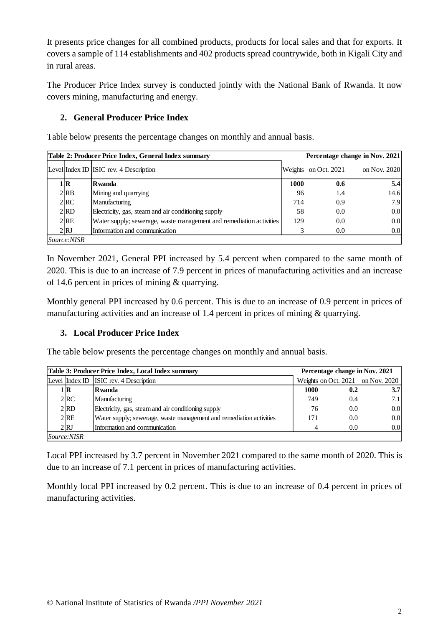It presents price changes for all combined products, products for local sales and that for exports. It covers a sample of 114 establishments and 402 products spread countrywide, both in Kigali City and in rural areas.

The Producer Price Index survey is conducted jointly with the National Bank of Rwanda. It now covers mining, manufacturing and energy.

## **2. General Producer Price Index**

Table below presents the percentage changes on monthly and annual basis.

|             | Table 2: Producer Price Index, General Index summary                |      | Percentage change in Nov. 2021 |              |  |  |  |  |
|-------------|---------------------------------------------------------------------|------|--------------------------------|--------------|--|--|--|--|
|             | Level Index ID ISIC rev. 4 Description                              |      | Weights on Oct. 2021           | on Nov. 2020 |  |  |  |  |
| l R         | Rwanda                                                              | 1000 | 0.6                            | 5.4          |  |  |  |  |
| 2 RB        | Mining and quarrying                                                | 96   | 1.4                            | 14.6         |  |  |  |  |
| 2 RC        | Manufacturing                                                       | 714  | 0.9                            | 7.9          |  |  |  |  |
| 2 RD        | Electricity, gas, steam and air conditioning supply                 | 58   | 0.0                            | 0.0          |  |  |  |  |
| 2 RE        | Water supply; sewerage, waste management and remediation activities | 129  | 0.0                            | 0.0          |  |  |  |  |
| 2 RJ        | Information and communication                                       |      | 0.0                            | 0.0          |  |  |  |  |
| Source:NISR |                                                                     |      |                                |              |  |  |  |  |

In November 2021, General PPI increased by 5.4 percent when compared to the same month of 2020. This is due to an increase of 7.9 percent in prices of manufacturing activities and an increase of 14.6 percent in prices of mining & quarrying.

Monthly general PPI increased by 0.6 percent. This is due to an increase of 0.9 percent in prices of manufacturing activities and an increase of 1.4 percent in prices of mining & quarrying.

### **3. Local Producer Price Index**

The table below presents the percentage changes on monthly and annual basis.

|                    | Table 3: Producer Price Index, Local Index summary                  | Percentage change in Nov. 2021 |     |                                   |  |  |
|--------------------|---------------------------------------------------------------------|--------------------------------|-----|-----------------------------------|--|--|
|                    | Level Index ID ISIC rev. 4 Description                              |                                |     | Weights on Oct. 2021 on Nov. 2020 |  |  |
| $1\mathbf{R}$      | <b>R</b> wanda                                                      | 1000                           | 0.2 | 3.7 <sub>l</sub>                  |  |  |
| 2 <sup>RC</sup>    | Manufacturing                                                       | 749                            | 0.4 | 7.1                               |  |  |
| $2$ RD             | Electricity, gas, steam and air conditioning supply                 | 76                             | 0.0 | 0.0                               |  |  |
| 2RE                | Water supply; sewerage, waste management and remediation activities | 171                            | 0.0 | 0.0                               |  |  |
| 2RJ                | Information and communication                                       | 4                              | 0.0 | 0.0                               |  |  |
| <i>Source:NISR</i> |                                                                     |                                |     |                                   |  |  |

Local PPI increased by 3.7 percent in November 2021 compared to the same month of 2020. This is due to an increase of 7.1 percent in prices of manufacturing activities.

Monthly local PPI increased by 0.2 percent. This is due to an increase of 0.4 percent in prices of manufacturing activities.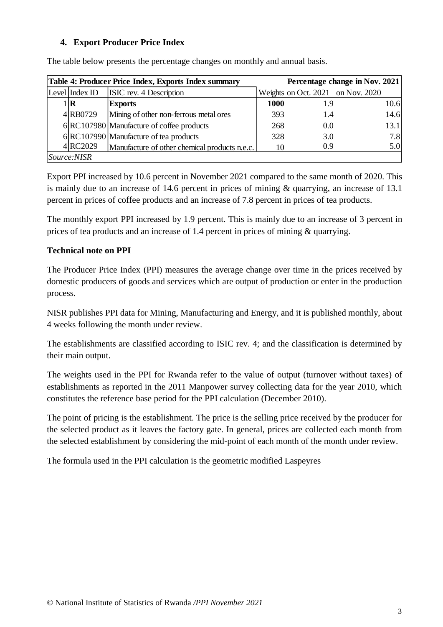#### **4. Export Producer Price Index**

|                | Table 4: Producer Price Index, Exports Index summary |      |     | Percentage change in Nov. 2021    |
|----------------|------------------------------------------------------|------|-----|-----------------------------------|
| Level Index ID | <b>ISIC</b> rev. 4 Description                       |      |     | Weights on Oct. 2021 on Nov. 2020 |
| $1\mathbf{R}$  | <b>Exports</b>                                       | 1000 | 1.9 | 10.6                              |
| 4 RB0729       | Mining of other non-ferrous metal ores               | 393  | 1.4 | 14.6                              |
|                | 6 RC107980 Manufacture of coffee products            | 268  | 0.0 | 13.1                              |
|                | $6 RC107990 $ Manufacture of tea products            | 328  | 3.0 | 7.8                               |
| 4 RC2029       | Manufacture of other chemical products n.e.c.        | 10   | 0.9 | 5.0                               |
| Source:NISR    |                                                      |      |     |                                   |

The table below presents the percentage changes on monthly and annual basis.

Export PPI increased by 10.6 percent in November 2021 compared to the same month of 2020. This is mainly due to an increase of 14.6 percent in prices of mining & quarrying, an increase of 13.1 percent in prices of coffee products and an increase of 7.8 percent in prices of tea products.

The monthly export PPI increased by 1.9 percent. This is mainly due to an increase of 3 percent in prices of tea products and an increase of 1.4 percent in prices of mining & quarrying.

### **Technical note on PPI**

The Producer Price Index (PPI) measures the average change over time in the prices received by domestic producers of goods and services which are output of production or enter in the production process.

NISR publishes PPI data for Mining, Manufacturing and Energy, and it is published monthly, about 4 weeks following the month under review.

The establishments are classified according to ISIC rev. 4; and the classification is determined by their main output.

The weights used in the PPI for Rwanda refer to the value of output (turnover without taxes) of establishments as reported in the 2011 Manpower survey collecting data for the year 2010, which constitutes the reference base period for the PPI calculation (December 2010).

The point of pricing is the establishment. The price is the selling price received by the producer for the selected product as it leaves the factory gate. In general, prices are collected each month from the selected establishment by considering the mid-point of each month of the month under review.

The formula used in the PPI calculation is the geometric modified Laspeyres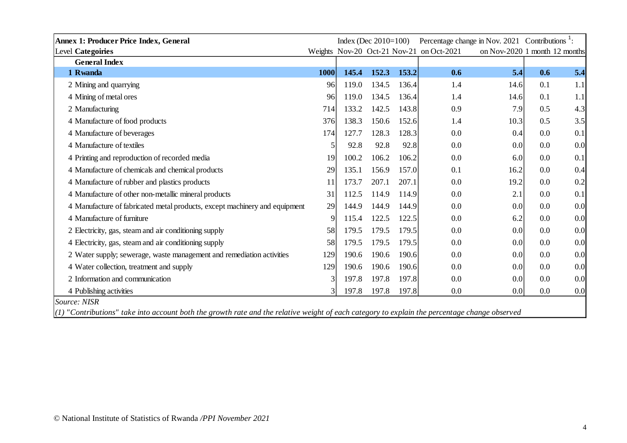| Annex 1: Producer Price Index, General                                                                                                          |               | Index (Dec $2010=100$ ) |       |       | Percentage change in Nov. 2021 Contributions <sup>1</sup> : |                               |     |     |
|-------------------------------------------------------------------------------------------------------------------------------------------------|---------------|-------------------------|-------|-------|-------------------------------------------------------------|-------------------------------|-----|-----|
| Level Categoiries                                                                                                                               |               |                         |       |       | Weights Nov-20 Oct-21 Nov-21 on Oct-2021                    | on Nov-2020 1 month 12 months |     |     |
| <b>General Index</b>                                                                                                                            |               |                         |       |       |                                                             |                               |     |     |
| 1 Rwanda                                                                                                                                        | 1000          | 145.4                   | 152.3 | 153.2 | 0.6                                                         | 5.4                           | 0.6 | 5.4 |
| 2 Mining and quarrying                                                                                                                          | 96            | 119.0                   | 134.5 | 136.4 | 1.4                                                         | 14.6                          | 0.1 | 1.1 |
| 4 Mining of metal ores                                                                                                                          | 96            | 119.0                   | 134.5 | 136.4 | 1.4                                                         | 14.6                          | 0.1 | 1.1 |
| 2 Manufacturing                                                                                                                                 | 714           | 133.2                   | 142.5 | 143.8 | 0.9                                                         | 7.9                           | 0.5 | 4.3 |
| 4 Manufacture of food products                                                                                                                  | 376           | 138.3                   | 150.6 | 152.6 | 1.4                                                         | 10.3                          | 0.5 | 3.5 |
| 4 Manufacture of beverages                                                                                                                      | 174           | 127.7                   | 128.3 | 128.3 | 0.0                                                         | 0.4                           | 0.0 | 0.1 |
| 4 Manufacture of textiles                                                                                                                       | 5             | 92.8                    | 92.8  | 92.8  | 0.0                                                         | 0.0                           | 0.0 | 0.0 |
| 4 Printing and reproduction of recorded media                                                                                                   | 19            | 100.2                   | 106.2 | 106.2 | 0.0                                                         | 6.0                           | 0.0 | 0.1 |
| 4 Manufacture of chemicals and chemical products                                                                                                | 29            | 135.1                   | 156.9 | 157.0 | 0.1                                                         | 16.2                          | 0.0 | 0.4 |
| 4 Manufacture of rubber and plastics products                                                                                                   | 11            | 173.7                   | 207.1 | 207.1 | 0.0                                                         | 19.2                          | 0.0 | 0.2 |
| 4 Manufacture of other non-metallic mineral products                                                                                            | 31            | 112.5                   | 114.9 | 114.9 | 0.0                                                         | 2.1                           | 0.0 | 0.1 |
| 4 Manufacture of fabricated metal products, except machinery and equipment                                                                      | 29            | 144.9                   | 144.9 | 144.9 | 0.0                                                         | 0.0                           | 0.0 | 0.0 |
| 4 Manufacture of furniture                                                                                                                      | 9             | 115.4                   | 122.5 | 122.5 | 0.0                                                         | 6.2                           | 0.0 | 0.0 |
| 2 Electricity, gas, steam and air conditioning supply                                                                                           | 58            | 179.5                   | 179.5 | 179.5 | 0.0                                                         | 0.0                           | 0.0 | 0.0 |
| 4 Electricity, gas, steam and air conditioning supply                                                                                           | 58            | 179.5                   | 179.5 | 179.5 | 0.0                                                         | 0.0                           | 0.0 | 0.0 |
| 2 Water supply; sewerage, waste management and remediation activities                                                                           | 129           | 190.6                   | 190.6 | 190.6 | 0.0                                                         | 0.0                           | 0.0 | 0.0 |
| 4 Water collection, treatment and supply                                                                                                        | 129           | 190.6                   | 190.6 | 190.6 | 0.0                                                         | 0.0                           | 0.0 | 0.0 |
| 2 Information and communication                                                                                                                 | 3             | 197.8                   | 197.8 | 197.8 | 0.0                                                         | 0.0                           | 0.0 | 0.0 |
| 4 Publishing activities                                                                                                                         | $\mathcal{E}$ | 197.8                   | 197.8 | 197.8 | 0.0                                                         | 0.0                           | 0.0 | 0.0 |
| Source: NISR                                                                                                                                    |               |                         |       |       |                                                             |                               |     |     |
| $(1)$ "Contributions" take into account both the growth rate and the relative weight of each category to explain the percentage change observed |               |                         |       |       |                                                             |                               |     |     |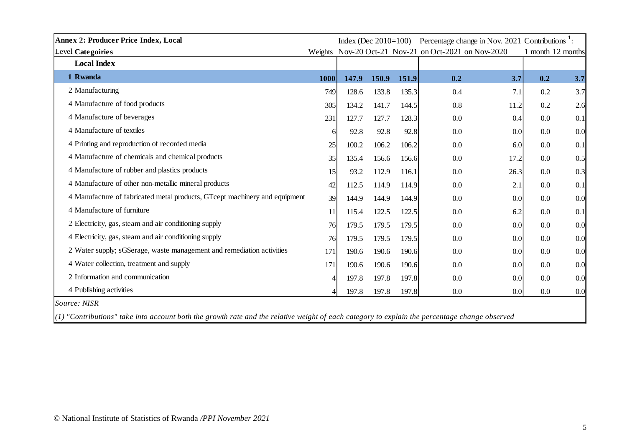| <b>Annex 2: Producer Price Index, Local</b>                                                                                                     | Index (Dec $2010=100$ ) |       |       | Percentage change in Nov. 2021 Contributions <sup>1</sup> : |                                                      |      |     |                   |
|-------------------------------------------------------------------------------------------------------------------------------------------------|-------------------------|-------|-------|-------------------------------------------------------------|------------------------------------------------------|------|-----|-------------------|
| Level Categoiries                                                                                                                               |                         |       |       |                                                             | Weights Nov-20 Oct-21 Nov-21 on Oct-2021 on Nov-2020 |      |     | 1 month 12 months |
| <b>Local Index</b>                                                                                                                              |                         |       |       |                                                             |                                                      |      |     |                   |
| 1 Rwanda                                                                                                                                        | <b>1000</b>             | 147.9 | 150.9 | 151.9                                                       | 0.2                                                  | 3.7  | 0.2 | 3.7               |
| 2 Manufacturing                                                                                                                                 | 749                     | 128.6 | 133.8 | 135.3                                                       | 0.4                                                  | 7.1  | 0.2 | 3.7               |
| 4 Manufacture of food products                                                                                                                  | 305                     | 134.2 | 141.7 | 144.5                                                       | 0.8                                                  | 11.2 | 0.2 | 2.6               |
| 4 Manufacture of beverages                                                                                                                      | 231                     | 127.7 | 127.7 | 128.3                                                       | 0.0                                                  | 0.4  | 0.0 | 0.1               |
| 4 Manufacture of textiles                                                                                                                       | 6                       | 92.8  | 92.8  | 92.8                                                        | 0.0                                                  | 0.0  | 0.0 | 0.0               |
| 4 Printing and reproduction of recorded media                                                                                                   | 25                      | 100.2 | 106.2 | 106.2                                                       | 0.0                                                  | 6.0  | 0.0 | 0.1               |
| 4 Manufacture of chemicals and chemical products                                                                                                | 35                      | 135.4 | 156.6 | 156.6                                                       | 0.0                                                  | 17.2 | 0.0 | 0.5               |
| 4 Manufacture of rubber and plastics products                                                                                                   | 15                      | 93.2  | 112.9 | 116.1                                                       | 0.0                                                  | 26.3 | 0.0 | 0.3               |
| 4 Manufacture of other non-metallic mineral products                                                                                            | 42                      | 112.5 | 114.9 | 114.9                                                       | 0.0                                                  | 2.1  | 0.0 | 0.1               |
| 4 Manufacture of fabricated metal products, GTcept machinery and equipment                                                                      | 39                      | 144.9 | 144.9 | 144.9                                                       | 0.0                                                  | 0.0  | 0.0 | 0.0               |
| 4 Manufacture of furniture                                                                                                                      | 11                      | 115.4 | 122.5 | 122.5                                                       | 0.0                                                  | 6.2  | 0.0 | 0.1               |
| 2 Electricity, gas, steam and air conditioning supply                                                                                           | 76                      | 179.5 | 179.5 | 179.5                                                       | 0.0                                                  | 0.0  | 0.0 | 0.0               |
| 4 Electricity, gas, steam and air conditioning supply                                                                                           | 76                      | 179.5 | 179.5 | 179.5                                                       | 0.0                                                  | 0.0  | 0.0 | 0.0               |
| 2 Water supply; sGSerage, waste management and remediation activities                                                                           | 171                     | 190.6 | 190.6 | 190.6                                                       | 0.0                                                  | 0.0  | 0.0 | 0.0               |
| 4 Water collection, treatment and supply                                                                                                        | 171                     | 190.6 | 190.6 | 190.6                                                       | 0.0                                                  | 0.0  | 0.0 | 0.0               |
| 2 Information and communication                                                                                                                 | $\overline{4}$          | 197.8 | 197.8 | 197.8                                                       | 0.0                                                  | 0.0  | 0.0 | 0.0               |
| 4 Publishing activities                                                                                                                         | $\Delta$                | 197.8 | 197.8 | 197.8                                                       | 0.0                                                  | 0.0  | 0.0 | 0.0               |
| Source: NISR                                                                                                                                    |                         |       |       |                                                             |                                                      |      |     |                   |
| $(1)$ "Contributions" take into account both the growth rate and the relative weight of each category to explain the percentage change observed |                         |       |       |                                                             |                                                      |      |     |                   |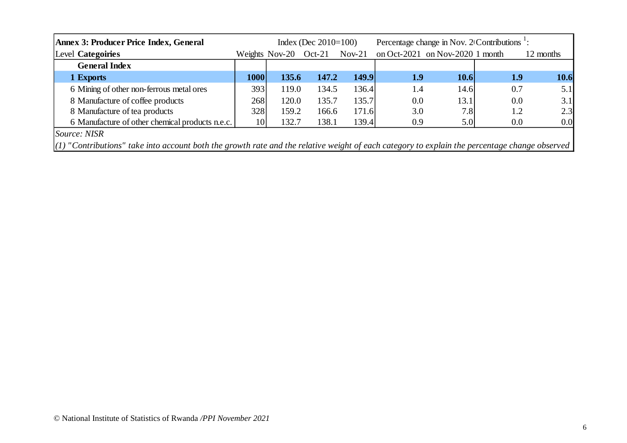| <b>Annex 3: Producer Price Index, General</b>                                                                                                   |             |                | Index (Dec $2010=100$ ) |          | Percentage change in Nov. $2$ Contributions <sup>1</sup> : |                                 |            |           |  |
|-------------------------------------------------------------------------------------------------------------------------------------------------|-------------|----------------|-------------------------|----------|------------------------------------------------------------|---------------------------------|------------|-----------|--|
| Level Categoiries                                                                                                                               |             | Weights Nov-20 | $Oct-21$                | $Nov-21$ |                                                            | on Oct-2021 on Nov-2020 1 month |            | 12 months |  |
| <b>General Index</b>                                                                                                                            |             |                |                         |          |                                                            |                                 |            |           |  |
| 1 Exports                                                                                                                                       | <b>1000</b> | 135.6          | 147.2                   | 149.9    | <b>1.9</b>                                                 | 10.6                            | <b>1.9</b> | 10.6      |  |
| 6 Mining of other non-ferrous metal ores                                                                                                        | 393         | 119.0          | 134.5                   | 136.4    | 1.4                                                        | 14.6                            | 0.7        | 5.1       |  |
| 8 Manufacture of coffee products                                                                                                                | 268         | 120.0          | 135.7                   | 135.7    | 0.0                                                        | 13.1                            | 0.0        | 3.1       |  |
| 8 Manufacture of tea products                                                                                                                   | 328         | 159.2          | 166.6                   | 171.6    | 3.0                                                        | 7.8                             | 1.2        | 2.3       |  |
| 6 Manufacture of other chemical products n.e.c.                                                                                                 | <b>10</b>   | 132.7          | 138.1                   | 139.4    | 0.9                                                        | 5.0                             | 0.0        | 0.0       |  |
| <i>Source: NISR</i>                                                                                                                             |             |                |                         |          |                                                            |                                 |            |           |  |
| $(1)$ "Contributions" take into account both the growth rate and the relative weight of each category to explain the percentage change observed |             |                |                         |          |                                                            |                                 |            |           |  |